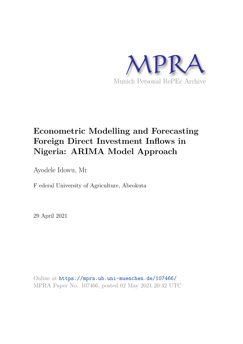

# **Econometric Modelling and Forecasting Foreign Direct Investment Inflows in Nigeria: ARIMA Model Approach**

Ayodele Idowu, Mr

F ederal University of Agriculture, Abeokuta

29 April 2021

Online at https://mpra.ub.uni-muenchen.de/107466/ MPRA Paper No. 107466, posted 02 May 2021 20:42 UTC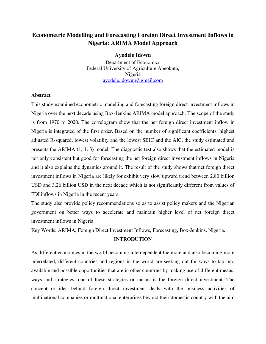## **Econometric Modelling and Forecasting Foreign Direct Investment Inflows in Nigeria: ARIMA Model Approach**

## **Ayodele Idowu**

Department of Economics Federal University of Agriculture Abeokuta, Nigeria [ayodele.idowuu@gmail.com](mailto:ayodele.idowuu@gmail.com)

## **Abstract**

This study examined econometric modelling and forecasting foreign direct investment inflows in Nigeria over the next decade using Box-Jenkins ARIMA model approach. The scope of the study is from 1970 to 2020. The correlogram show that the net foreign direct investment inflow in Nigeria is integrated of the first order. Based on the number of significant coefficients, highest adjusted R-squared, lowest volatility and the lowest SBIC and the AIC, the study estimated and presents the ARIMA (1, 1, 3) model. The diagnostic test also shows that the estimated model is not only consistent but good for forecasting the net foreign direct investment inflows in Nigeria and it also explains the dynamics around it. The result of the study shows that net foreign direct investment inflows in Nigeria are likely for exhibit very slow upward trend between 2.80 billion USD and 3.26 billion USD in the next decade which is not significantly different from values of FDI inflows in Nigeria in the recent years.

The study also provide policy recommendations so as to assist policy makers and the Nigerian government on better ways to accelerate and maintain higher level of net foreign direct investment inflows in Nigeria.

Key Words: ARIMA, Foreign Direct Investment Inflows, Forecasting, Box-Jenkins, Nigeria.

## **INTRODUTION**

As different economies in the world becoming interdependent the more and also becoming more interrelated, different countries and regions in the world are seeking out for ways to tap into available and possible opportunities that are in other countries by making use of different means, ways and strategies, one of these strategies or means is the foreign direct investment. The concept or idea behind foreign direct investment deals with the business activities of multinational companies or multinational enterprises beyond their domestic country with the aim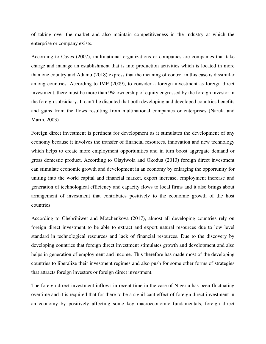of taking over the market and also maintain competitiveness in the industry at which the enterprise or company exists.

According to Caves (2007), multinational organizations or companies are companies that take charge and manage an establishment that is into production activities which is located in more than one country and Adamu (2018) express that the meaning of control in this case is dissimilar among countries. According to IMF (2009), to consider a foreign investment as foreign direct investment, there must be more than 9% ownership of equity engrossed by the foreign investor in the foreign subsidiary. It can't be disputed that both developing and developed countries benefits and gains from the flows resulting from multinational companies or enterprises (Narula and Marin, 2003)

Foreign direct investment is pertinent for development as it stimulates the development of any economy because it involves the transfer of financial resources, innovation and new technology which helps to create more employment opportunities and in turn boost aggregate demand or gross domestic product. According to Olayiwola and Okodua (2013) foreign direct investment can stimulate economic growth and development in an economy by enlarging the opportunity for uniting into the world capital and financial market, export increase, employment increase and generation of technological efficiency and capacity flows to local firms and it also brings about arrangement of investment that contributes positively to the economic growth of the host countries.

According to Ghebrihiwet and Motchenkova (2017), almost all developing countries rely on foreign direct investment to be able to extract and export natural resources due to low level standard in technological resources and lack of financial resources. Due to the discovery by developing countries that foreign direct investment stimulates growth and development and also helps in generation of employment and income. This therefore has made most of the developing countries to liberalize their investment regimes and also push for some other forms of strategies that attracts foreign investors or foreign direct investment.

The foreign direct investment inflows in recent time in the case of Nigeria has been fluctuating overtime and it is required that for there to be a significant effect of foreign direct investment in an economy by positively affecting some key macroeconomic fundamentals, foreign direct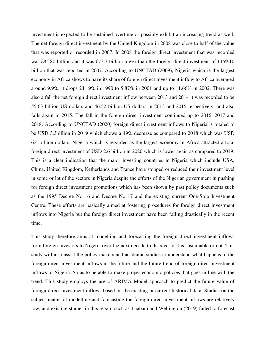investment is expected to be sustained overtime or possibly exhibit an increasing trend as well. The net foreign direct investment by the United Kingdom in 2008 was close to half of the value that was reported or recorded in 2007. In 2008 the foreign direct investment that was recorded was £85.80 billion and it was £73.3 billion lower than the foreign direct investment of £159.10 billion that was reported in 2007. According to UNCTAD (2009), Nigeria which is the largest economy in Africa shows to have its share of foreign direct investment inflow to Africa averaged around 9.9%, it drops 24.19% in 1990 to 5.87% in 2001 and up to 11.66% in 2002. There was also a fall the net foreign direct investment inflow between 2013 and 2014 it was recorded to be 55.63 billion US dollars and 46.52 billion US dollars in 2013 and 2015 respectively, and also falls again in 2015. The fall in the foreign direct investment continued up to 2016, 2017 and 2018. According to UNCTAD (2020) foreign direct investment inflows to Nigeria is totaled to be USD 3.3billion in 2019 which shows a 49% decrease as compared to 2018 which was USD 6.4 billion dollars. Nigeria which is regarded as the largest economy in Africa attracted a total foreign direct investment of USD 2.6 billion in 2020 which is lower again as compared to 2019. This is a clear indication that the major investing countries in Nigeria which include USA, China, United Kingdom, Netherlands and France have stopped or reduced their investment level in some or lot of the sectors in Nigeria despite the efforts of the Nigerian government in pushing for foreign direct investment promotions which has been shown by past policy documents such as the 1995 Decree No 16 and Decree No 17 and the existing current One-Stop Investment Centre. These efforts are basically aimed at fostering procedures for foreign direct investment inflows into Nigeria but the foreign direct investment have been falling drastically in the recent time.

This study therefore aims at modelling and forecasting the foreign direct investment inflows from foreign investors to Nigeria over the next decade to discover if it is sustainable or not. This study will also assist the policy makers and academic studies to understand what happens to the foreign direct investment inflows in the future and the future trend of foreign direct investment inflows to Nigeria. So as to be able to make proper economic policies that goes in line with the trend. This study employs the use of ARIMA Model approach to predict the future value of foreign direct investment inflows based on the existing or current historical data. Studies on the subject matter of modelling and forecasting the foreign direct investment inflows are relatively low, and existing studies in this regard such as Thabani and Wellington (2019) failed to forecast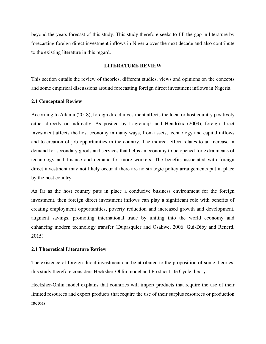beyond the years forecast of this study. This study therefore seeks to fill the gap in literature by forecasting foreign direct investment inflows in Nigeria over the next decade and also contribute to the existing literature in this regard.

## **LITERATURE REVIEW**

This section entails the review of theories, different studies, views and opinions on the concepts and some empirical discussions around forecasting foreign direct investment inflows in Nigeria.

## **2.1 Conceptual Review**

According to Adamu (2018), foreign direct investment affects the local or host country positively either directly or indirectly. As posited by Lagrendijk and Hendrikx (2009), foreign direct investment affects the host economy in many ways, from assets, technology and capital inflows and to creation of job opportunities in the country. The indirect effect relates to an increase in demand for secondary goods and services that helps an economy to be opened for extra means of technology and finance and demand for more workers. The benefits associated with foreign direct investment may not likely occur if there are no strategic policy arrangements put in place by the host country.

As far as the host country puts in place a conducive business environment for the foreign investment, then foreign direct investment inflows can play a significant role with benefits of creating employment opportunities, poverty reduction and increased growth and development, augment savings, promoting international trade by uniting into the world economy and enhancing modern technology transfer (Dupasquier and Osakwe, 2006; Gui-Diby and Renerd, 2015)

## **2.1 Theoretical Literature Review**

The existence of foreign direct investment can be attributed to the proposition of some theories; this study therefore considers Hecksher-Ohlin model and Product Life Cycle theory.

Hecksher-Ohlin model explains that countries will import products that require the use of their limited resources and export products that require the use of their surplus resources or production factors.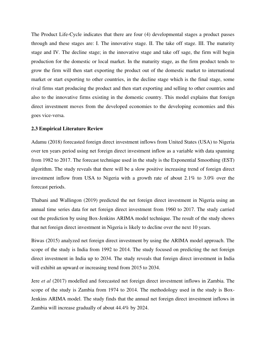The Product Life-Cycle indicates that there are four (4) developmental stages a product passes through and these stages are: I. The innovative stage. II. The take off stage. III. The maturity stage and IV. The decline stage; in the innovative stage and take off sage, the firm will begin production for the domestic or local market. In the maturity stage, as the firm product tends to grow the firm will then start exporting the product out of the domestic market to international market or start exporting to other countries, in the decline stage which is the final stage, some rival firms start producing the product and then start exporting and selling to other countries and also to the innovative firms existing in the domestic country. This model explains that foreign direct investment moves from the developed economies to the developing economies and this goes vice-versa.

#### **2.3 Empirical Literature Review**

Adamu (2018) forecasted foreign direct investment inflows from United States (USA) to Nigeria over ten years period using net foreign direct investment inflow as a variable with data spanning from 1982 to 2017. The forecast technique used in the study is the Exponential Smoothing (EST) algorithm. The study reveals that there will be a slow positive increasing trend of foreign direct investment inflow from USA to Nigeria with a growth rate of about 2.1% to 3.0% over the forecast periods.

Thabani and Wallingon (2019) predicted the net foreign direct investment in Nigeria using an annual time series data for net foreign direct investment from 1960 to 2017. The study carried out the prediction by using Box-Jenkins ARIMA model technique. The result of the study shows that net foreign direct investment in Nigeria is likely to decline over the next 10 years.

Biwas (2015) analyzed net foreign direct investment by using the ARIMA model approach. The scope of the study is India from 1992 to 2014. The study focused on predicting the net foreign direct investment in India up to 2034. The study reveals that foreign direct investment in India will exhibit an upward or increasing trend from 2015 to 2034.

Jere *et al* (2017) modelled and forecasted net foreign direct investment inflows in Zambia. The scope of the study is Zambia from 1974 to 2014. The methodology used in the study is Box-Jenkins ARIMA model. The study finds that the annual net foreign direct investment inflows in Zambia will increase gradually of about 44.4% by 2024.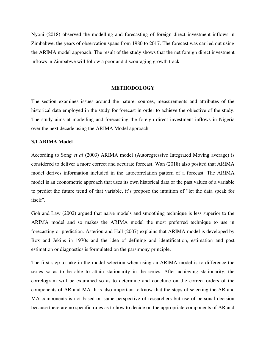Nyoni (2018) observed the modelling and forecasting of foreign direct investment inflows in Zimbabwe, the years of observation spans from 1980 to 2017. The forecast was carried out using the ARIMA model approach. The result of the study shows that the net foreign direct investment inflows in Zimbabwe will follow a poor and discouraging growth track.

#### **METHODOLOGY**

The section examines issues around the nature, sources, measurements and attributes of the historical data employed in the study for forecast in order to achieve the objective of the study. The study aims at modelling and forecasting the foreign direct investment inflows in Nigeria over the next decade using the ARIMA Model approach.

## **3.1 ARIMA Model**

According to Song *et al* (2003) ARIMA model (Autoregressive Integrated Moving average) is considered to deliver a more correct and accurate forecast. Wan (2018) also posited that ARIMA model derives information included in the autocorrelation pattern of a forecast. The ARIMA model is an econometric approach that uses its own historical data or the past values of a variable to predict the future trend of that variable, it's propose the intuition of "let the data speak for itself".

Goh and Law (2002) argued that naïve models and smoothing technique is less superior to the ARIMA model and so makes the ARIMA model the most preferred technique to use in forecasting or prediction. Asteriou and Hall (2007) explains that ARIMA model is developed by Box and Jekins in 1970s and the idea of defining and identification, estimation and post estimation or diagnostics is formulated on the parsimony principle.

The first step to take in the model selection when using an ARIMA model is to difference the series so as to be able to attain stationarity in the series. After achieving stationarity, the correlogram will be examined so as to determine and conclude on the correct orders of the components of AR and MA. It is also important to know that the steps of selecting the AR and MA components is not based on same perspective of researchers but use of personal decision because there are no specific rules as to how to decide on the appropriate components of AR and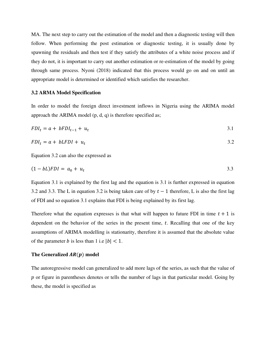MA. The next step to carry out the estimation of the model and then a diagnostic testing will then follow. When performing the post estimation or diagnostic testing, it is usually done by spawning the residuals and then test if they satisfy the attributes of a white noise process and if they do not, it is important to carry out another estimation or re-estimation of the model by going through same process. Nyoni (2018) indicated that this process would go on and on until an appropriate model is determined or identified which satisfies the researcher.

#### **3.2 ARMA Model Specification**

In order to model the foreign direct investment inflows in Nigeria using the ARIMA model approach the ARIMA model (p, d, q) is therefore specified as;

$$
FDI_t = a + bFDI_{t-1} + u_t
$$

$$
FDI_t = a + bLFDI + u_t \tag{3.2}
$$

Equation 3.2 can also the expressed as

$$
(1 - bL)FDI = a_0 + u_t \tag{3.3}
$$

Equation 3.1 is explained by the first lag and the equation is 3.1 is further expressed in equation 3.2 and 3.3. The L in equation 3.2 is being taken care of by  $t - 1$  therefore, L is also the first lag of FDI and so equation 3.1 explains that FDI is being explained by its first lag.

Therefore what the equation expresses is that what will happen to future FDI in time  $t + 1$  is dependent on the behavior of the series in the present time,  $t$ . Recalling that one of the key assumptions of ARIMA modelling is stationarity, therefore it is assumed that the absolute value of the parameter *b* is less than 1 i.e  $|b| < 1$ .

#### The Generalized  $AR(p)$  model

The autoregressive model can generalized to add more lags of the series, as such that the value of  $p$  or figure in parentheses denotes or tells the number of lags in that particular model. Going by these, the model is specified as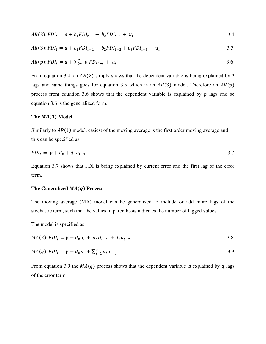$$
AR(2):FDI_t = a + b_1FDI_{t-1} + b_2FDI_{t-2} + u_t
$$
\n
$$
(3.4)
$$

$$
AR(3):FDI_t = a + b_1FDI_{t-1} + b_2FDI_{t-2} + b_3FDI_{t-3} + u_t
$$
\n
$$
(3.5)
$$

$$
AR(p):FDI_t = a + \sum_{i=1}^{p} b_i FDI_{t-i} + u_t
$$

From equation 3.4, an  $AR(2)$  simply shows that the dependent variable is being explained by 2 lags and same things goes for equation 3.5 which is an  $AR(3)$  model. Therefore an  $AR(p)$ process from equation 3.6 shows that the dependent variable is explained by  $p$  lags and so equation 3.6 is the generalized form.

#### The  $MA(1)$  Model

Similarly to  $AR(1)$  model, easiest of the moving average is the first order moving average and this can be specified as

$$
FDI_t = \gamma + d_0 + d_0 u_{t-1} \tag{3.7}
$$

Equation 3.7 shows that FDI is being explained by current error and the first lag of the error term.

#### The Generalized  $MA(q)$  Process

The moving average (MA) model can be generalized to include or add more lags of the stochastic term, such that the values in parenthesis indicates the number of lagged values.

The model is specified as

$$
MA(2):FDI_t = \gamma + d_0u_t + d_1U_{t-1} + d_2u_{t-2}
$$

$$
MA(q):FDI_t = \gamma + d_0u_t + \sum_{j=1}^p d_ju_{t-j}
$$

From equation 3.9 the  $MA(q)$  process shows that the dependent variable is explained by q lags of the error term.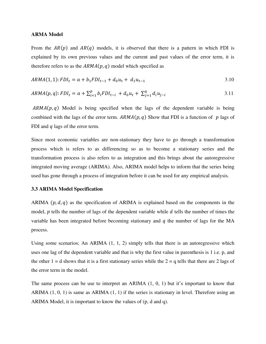#### **ARMA Model**

From the  $AR(p)$  and  $AR(q)$  models, it is observed that there is a pattern in which FDI is explained by its own previous values and the current and past values of the error term, it is therefore refers to as the  $ARMA(p, q)$  model which specified as

$$
ARMA(1, 1): FDI_t = a + b_1FDI_{t-1} + d_0u_t + d_1u_{t-1}
$$
\n
$$
3.10
$$

$$
ARMA(p,q):FDI_t = a + \sum_{i=1}^{p} b_i FDI_{t-i} + d_0 u_t + \sum_{j=1}^{q} d_i u_{j-i}
$$
\n
$$
\tag{3.11}
$$

 $ARMA(p, q)$  Model is being specified when the lags of the dependent variable is being combined with the lags of the error term.  $ARMA(p, q)$  Show that FDI is a function of p lags of FDI and  $q$  lags of the error term.

Since most economic variables are non-stationary they have to go through a transformation process which is refers to as differencing so as to become a stationary series and the transformation process is also refers to as integration and this brings about the autoregressive integrated moving average (ARIMA). Also, ARIMA model helps to inform that the series being used has gone through a process of integration before it can be used for any empirical analysis.

#### **3.3 ARIMA Model Specification**

ARIMA  $(p, d, q)$  as the specification of ARIMA is explained based on the components in the model,  $p$  tells the number of lags of the dependent variable while  $d$  tells the number of times the variable has been integrated before becoming stationary and  $q$  the number of lags for the MA process.

Using some scenarios; An ARIMA (1, 1, 2) simply tells that there is an autoregressive which uses one lag of the dependent variable and that is why the first value in parenthesis is 1 i.e. p, and the other  $1 = d$  shows that it is a first stationary series while the  $2 = q$  tells that there are 2 lags of the error term in the model.

The same process can be use to interpret an ARIMA (1, 0, 1) but it's important to know that ARIMA (1, 0, 1) is same as ARIMA (1, 1) if the series is stationary in level. Therefore using an ARIMA Model, it is important to know the values of (p, d and q).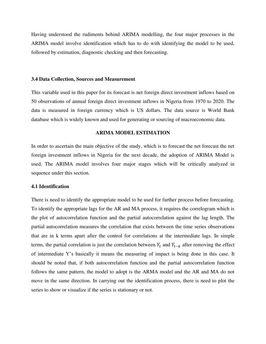Having understood the rudiments behind ARIMA modelling, the four major processes in the ARIMA model involve identification which has to do with identifying the model to be used, followed by estimation, diagnostic checking and then forecasting.

#### **3.4 Data Collection, Sources and Measurement**

This variable used in this paper for its forecast is net foreign direct investment inflows based on 50 observations of annual foreign direct investment inflows in Nigeria from 1970 to 2020. The data is measured in foreign currency which is US dollars. The data source is World Bank database which is widely known and used for generating or sourcing of macroeconomic data.

## **ARIMA MODEL ESTIMATION**

In order to ascertain the main objective of the study, which is to forecast the net forecast the net foreign investment inflows in Nigeria for the next decade, the adoption of ARIMA Model is used. The ARIMA model involves four major stages which will be critically analyzed in sequence under this section.

## **4.1 Identification**

There is need to identify the appropriate model to be used for further process before forecasting. To identify the appropriate lags for the AR and MA process, it requires the correlogram which is the plot of autocorrelation function and the partial autocorrelation against the lag length. The partial autocorrelation measures the correlation that exists between the time series observations that are in k terms apart after the control for correlations at the intermediate lags. In simple terms, the partial correlation is just the correlation between  $Y_t$  and  $Y_{t-k}$  after removing the effect of intermediate Y's basically it means the measuring of impact is being done in this case. It should be noted that, if both autocorrelation function and the partial autocorrelation function follows the same pattern, the model to adopt is the ARMA model and the AR and MA do not move in the same direction. In carrying out the identification process, there is need to plot the series to show or visualize if the series is stationary or not.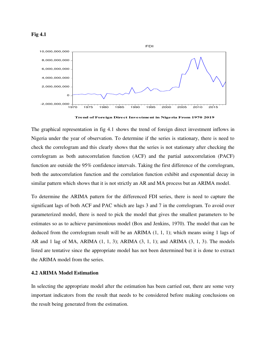



**Trend of Foreign Direct Investment in Nigeria From 1970 2019**

The graphical representation in fig 4.1 shows the trend of foreign direct investment inflows in Nigeria under the year of observation. To determine if the series is stationary, there is need to check the correlogram and this clearly shows that the series is not stationary after checking the correlogram as both autocorrelation function (ACF) and the partial autocorrelation (PACF) function are outside the 95% confidence intervals. Taking the first difference of the correlogram, both the autocorrelation function and the correlation function exhibit and exponential decay in similar pattern which shows that it is not strictly an AR and MA process but an ARIMA model.

To determine the ARIMA pattern for the differenced FDI series, there is need to capture the significant lags of both ACF and PAC which are lags 3 and 7 in the correlogram. To avoid over parameterized model, there is need to pick the model that gives the smallest parameters to be estimates so as to achieve parsimonious model (Box and Jenkins, 1970). The model that can be deduced from the correlogram result will be an ARIMA (1, 1, 1); which means using 1 lags of AR and 1 lag of MA, ARIMA (1, 1, 3); ARIMA (3, 1, 1); and ARIMA (3, 1, 3). The models listed are tentative since the appropriate model has not been determined but it is done to extract the ARIMA model from the series.

#### **4.2 ARIMA Model Estimation**

In selecting the appropriate model after the estimation has been carried out, there are some very important indicators from the result that needs to be considered before making conclusions on the result being generated from the estimation.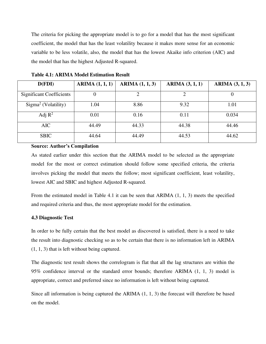The criteria for picking the appropriate model is to go for a model that has the most significant coefficient, the model that has the least volatility because it makes more sense for an economic variable to be less volatile, also, the model that has the lowest Akaike info criterion (AIC) and the model that has the highest Adjusted R-squared.

| D(FDI)                          | ARIMA (1, 1, 1) | ARIMA (1, 1, 3) | <b>ARIMA</b> $(3, 1, 1)$ | ARIMA (3, 1, 3) |
|---------------------------------|-----------------|-----------------|--------------------------|-----------------|
| <b>Significant Coefficients</b> | 0               |                 |                          | U               |
| $Sigma2$ (Volatility)           | 1.04            | 8.86            | 9.32                     | 1.01            |
| Adj $R^2$                       | 0.01            | 0.16            | 0.11                     | 0.034           |
| <b>AIC</b>                      | 44.49           | 44.33           | 44.38                    | 44.46           |
| <b>SBIC</b>                     | 44.64           | 44.49           | 44.53                    | 44.62           |

**Table 4.1: ARIMA Model Estimation Result** 

## **Source: Author's Compilation**

As stated earlier under this section that the ARIMA model to be selected as the appropriate model for the most or correct estimation should follow some specified criteria, the criteria involves picking the model that meets the follow; most significant coefficient, least volatility, lowest AIC and SBIC and highest Adjusted R-squared.

From the estimated model in Table 4.1 it can be seen that ARIMA (1, 1, 3) meets the specified and required criteria and thus, the most appropriate model for the estimation.

## **4.3 Diagnostic Test**

In order to be fully certain that the best model as discovered is satisfied, there is a need to take the result into diagnostic checking so as to be certain that there is no information left in ARIMA (1, 1, 3) that is left without being captured.

The diagnostic test result shows the correlogram is flat that all the lag structures are within the 95% confidence interval or the standard error bounds; therefore ARIMA (1, 1, 3) model is appropriate, correct and preferred since no information is left without being captured.

Since all information is being captured the ARIMA (1, 1, 3) the forecast will therefore be based on the model.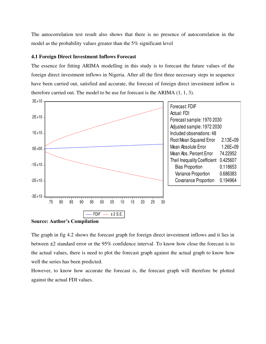The autocorrelation test result also shows that there is no presence of autocorrelation in the model as the probability values greater than the 5% significant level

## **4.1 Foreign Direct Investment Inflows Forecast**

The essence for fitting ARIMA modelling in this study is to forecast the future values of the foreign direct investment inflows in Nigeria. After all the first three necessary steps in sequence have been carried out, satisfied and accurate, the forecast of foreign direct investment inflow is therefore carried out. The model to be use for forecast is the ARIMA (1, 1, 3).



**Source: Author's Compilation** 

The graph in fig 4.2 shows the forecast graph for foreign direct investment inflows and it lies in between ±2 standard error or the 95% confidence interval. To know how close the forecast is to the actual values, there is need to plot the forecast graph against the actual graph to know how well the series has been predicted.

However, to know how accurate the forecast is, the forecast graph will therefore be plotted against the actual FDI values.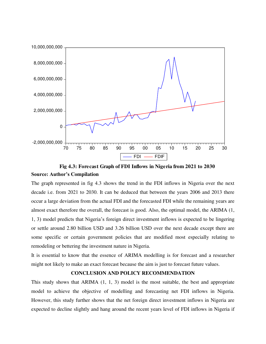

**Fig 4.3: Forecast Graph of FDI Inflows in Nigeria from 2021 to 2030 Source: Author's Compilation** 

The graph represented in fig 4.3 shows the trend in the FDI inflows in Nigeria over the next decade i.e. from 2021 to 2030. It can be deduced that between the years 2006 and 2013 there occur a large deviation from the actual FDI and the forecasted FDI while the remaining years are almost exact therefore the overall, the forecast is good. Also, the optimal model, the ARIMA (1, 1, 3) model predicts that Nigeria's foreign direct investment inflows is expected to be lingering or settle around 2.80 billion USD and 3.26 billion USD over the next decade except there are some specific or certain government policies that are modified most especially relating to remodeling or bettering the investment nature in Nigeria.

It is essential to know that the essence of ARIMA modelling is for forecast and a researcher might not likely to make an exact forecast because the aim is just to forecast future values.

## **CONCLUSION AND POLICY RECOMMENDATION**

This study shows that ARIMA (1, 1, 3) model is the most suitable, the best and appropriate model to achieve the objective of modelling and forecasting net FDI inflows in Nigeria. However, this study further shows that the net foreign direct investment inflows in Nigeria are expected to decline slightly and hang around the recent years level of FDI inflows in Nigeria if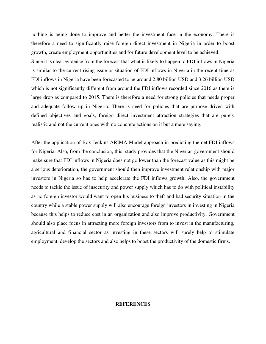nothing is being done to improve and better the investment face in the economy. There is therefore a need to significantly raise foreign direct investment in Nigeria in order to boost growth, create employment opportunities and for future development level to be achieved.

Since it is clear evidence from the forecast that what is likely to happen to FDI inflows in Nigeria is similar to the current rising issue or situation of FDI inflows in Nigeria in the recent time as FDI inflows in Nigeria have been forecasted to be around 2.80 billion USD and 3.26 billion USD which is not significantly different from around the FDI inflows recorded since 2016 as there is large drop as compared to 2015. There is therefore a need for strong policies that needs proper and adequate follow up in Nigeria. There is need for policies that are purpose driven with defined objectives and goals, foreign direct investment attraction strategies that are purely realistic and not the current ones with no concrete actions on it but a mere saying.

After the application of Box-Jenkins ARIMA Model approach in predicting the net FDI inflows for Nigeria. Also, from the conclusion, this study provides that the Nigerian government should make sure that FDI inflows in Nigeria does not go lower than the forecast value as this might be a serious deterioration, the government should then improve investment relationship with major investors in Nigeria so has to help accelerate the FDI inflows growth. Also, the government needs to tackle the issue of insecurity and power supply which has to do with political instability as no foreign investor would want to open his business to theft and bad security situation in the country while a stable power supply will also encourage foreign investors in investing in Nigeria because this helps to reduce cost in an organization and also improve productivity. Government should also place focus in attracting more foreign investors from to invest in the manufacturing, agricultural and financial sector as investing in these sectors will surely help to stimulate employment, develop the sectors and also helps to boost the productivity of the domestic firms.

#### **REFERENCES**